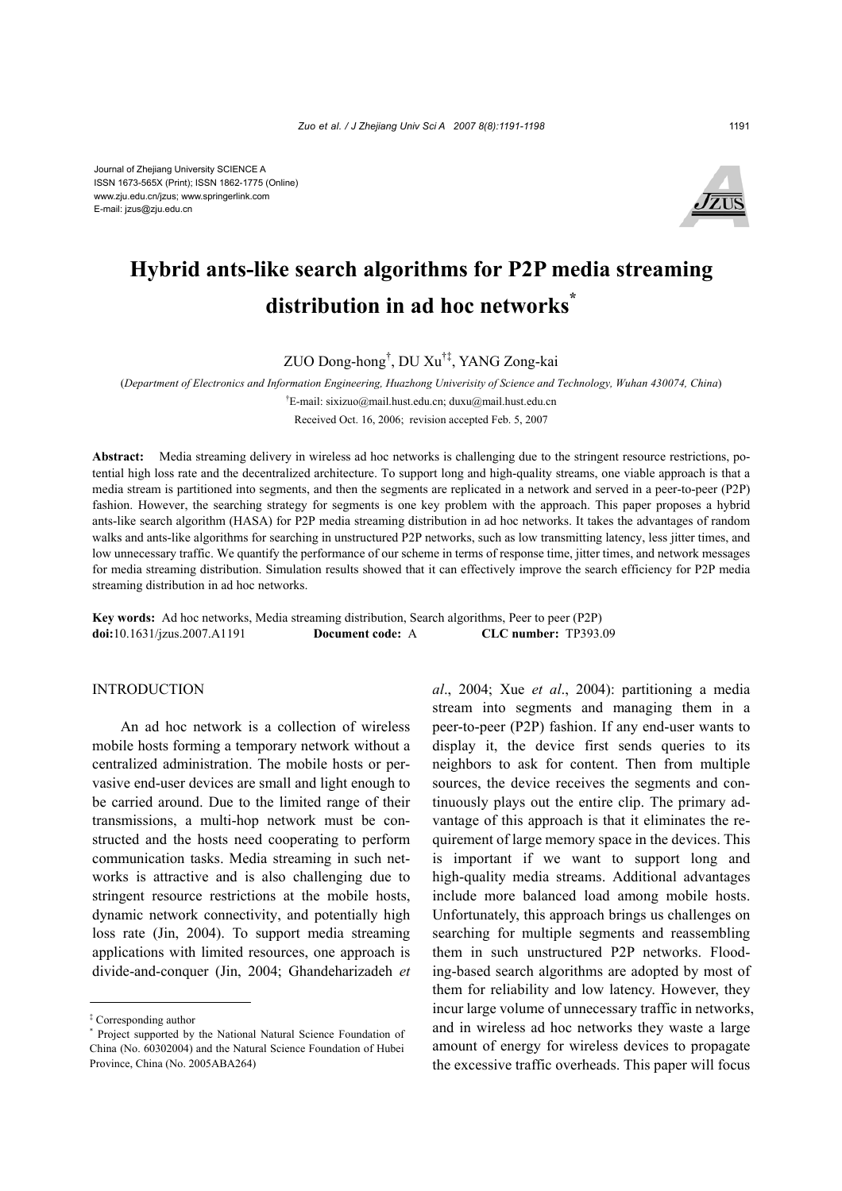

# **Hybrid ants-like search algorithms for P2P media streaming distribution in ad hoc networks\***

ZUO Dong-hong† , DU Xu†‡, YANG Zong-kai

(*Department of Electronics and Information Engineering, Huazhong Univerisity of Science and Technology, Wuhan 430074, China*)

† E-mail: sixizuo@mail.hust.edu.cn; duxu@mail.hust.edu.cn

Received Oct. 16, 2006; revision accepted Feb. 5, 2007

**Abstract:** Media streaming delivery in wireless ad hoc networks is challenging due to the stringent resource restrictions, potential high loss rate and the decentralized architecture. To support long and high-quality streams, one viable approach is that a media stream is partitioned into segments, and then the segments are replicated in a network and served in a peer-to-peer (P2P) fashion. However, the searching strategy for segments is one key problem with the approach. This paper proposes a hybrid ants-like search algorithm (HASA) for P2P media streaming distribution in ad hoc networks. It takes the advantages of random walks and ants-like algorithms for searching in unstructured P2P networks, such as low transmitting latency, less jitter times, and low unnecessary traffic. We quantify the performance of our scheme in terms of response time, jitter times, and network messages for media streaming distribution. Simulation results showed that it can effectively improve the search efficiency for P2P media streaming distribution in ad hoc networks.

**Key words:** Ad hoc networks, Media streaming distribution, Search algorithms, Peer to peer (P2P) **doi:**10.1631/jzus.2007.A1191 **Document code:** A **CLC number:** TP393.09

## INTRODUCTION

An ad hoc network is a collection of wireless mobile hosts forming a temporary network without a centralized administration. The mobile hosts or pervasive end-user devices are small and light enough to be carried around. Due to the limited range of their transmissions, a multi-hop network must be constructed and the hosts need cooperating to perform communication tasks. Media streaming in such networks is attractive and is also challenging due to stringent resource restrictions at the mobile hosts, dynamic network connectivity, and potentially high loss rate (Jin, 2004). To support media streaming applications with limited resources, one approach is divide-and-conquer (Jin, 2004; Ghandeharizadeh *et* 

*al*., 2004; Xue *et al*., 2004): partitioning a media stream into segments and managing them in a peer-to-peer (P2P) fashion. If any end-user wants to display it, the device first sends queries to its neighbors to ask for content. Then from multiple sources, the device receives the segments and continuously plays out the entire clip. The primary advantage of this approach is that it eliminates the requirement of large memory space in the devices. This is important if we want to support long and high-quality media streams. Additional advantages include more balanced load among mobile hosts. Unfortunately, this approach brings us challenges on searching for multiple segments and reassembling them in such unstructured P2P networks. Flooding-based search algorithms are adopted by most of them for reliability and low latency. However, they incur large volume of unnecessary traffic in networks, and in wireless ad hoc networks they waste a large amount of energy for wireless devices to propagate the excessive traffic overheads. This paper will focus

<sup>‡</sup> Corresponding author

<sup>\*</sup> Project supported by the National Natural Science Foundation of China (No. 60302004) and the Natural Science Foundation of Hubei Province, China (No. 2005ABA264)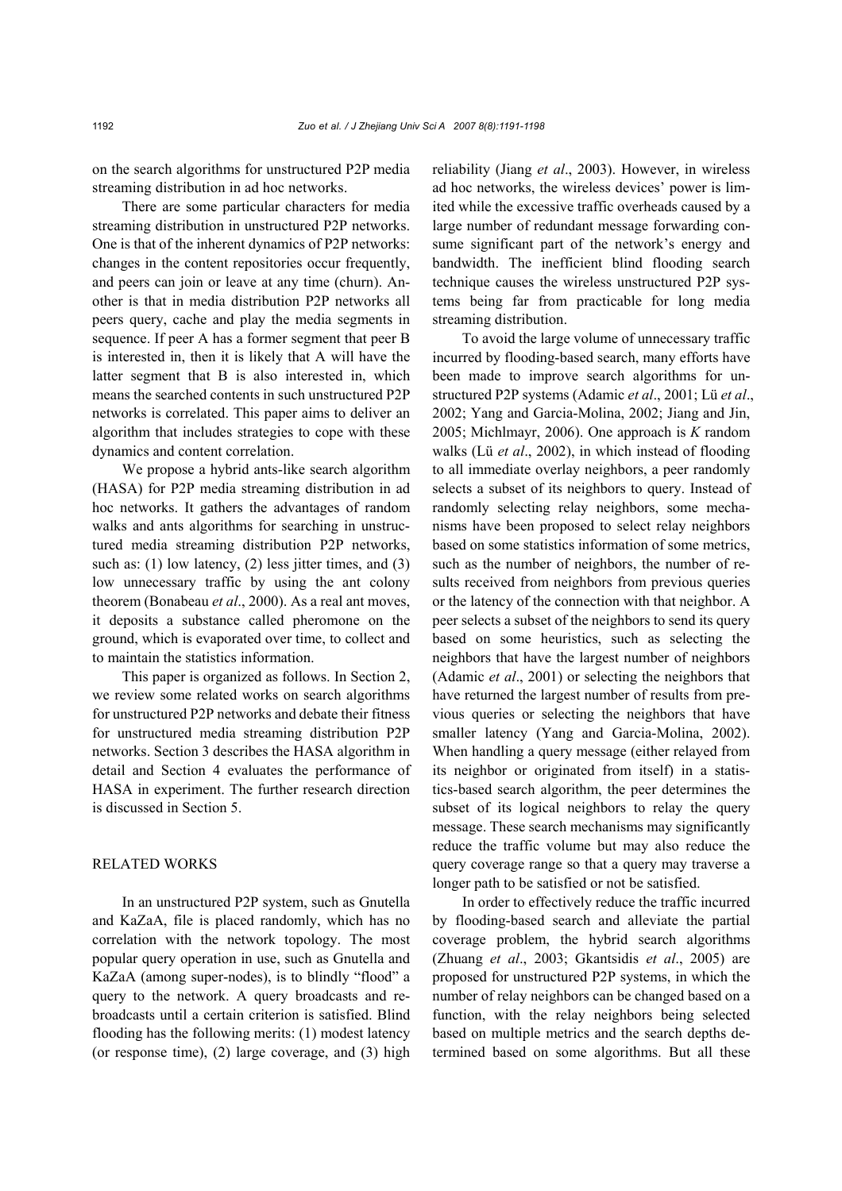on the search algorithms for unstructured P2P media streaming distribution in ad hoc networks.

There are some particular characters for media streaming distribution in unstructured P2P networks. One is that of the inherent dynamics of P2P networks: changes in the content repositories occur frequently, and peers can join or leave at any time (churn). Another is that in media distribution P2P networks all peers query, cache and play the media segments in sequence. If peer A has a former segment that peer B is interested in, then it is likely that A will have the latter segment that B is also interested in, which means the searched contents in such unstructured P2P networks is correlated. This paper aims to deliver an algorithm that includes strategies to cope with these dynamics and content correlation.

We propose a hybrid ants-like search algorithm (HASA) for P2P media streaming distribution in ad hoc networks. It gathers the advantages of random walks and ants algorithms for searching in unstructured media streaming distribution P2P networks, such as: (1) low latency, (2) less jitter times, and (3) low unnecessary traffic by using the ant colony theorem (Bonabeau *et al*., 2000). As a real ant moves, it deposits a substance called pheromone on the ground, which is evaporated over time, to collect and to maintain the statistics information.

This paper is organized as follows. In Section 2, we review some related works on search algorithms for unstructured P2P networks and debate their fitness for unstructured media streaming distribution P2P networks. Section 3 describes the HASA algorithm in detail and Section 4 evaluates the performance of HASA in experiment. The further research direction is discussed in Section 5.

## RELATED WORKS

In an unstructured P2P system, such as Gnutella and KaZaA, file is placed randomly, which has no correlation with the network topology. The most popular query operation in use, such as Gnutella and KaZaA (among super-nodes), is to blindly "flood" a query to the network. A query broadcasts and rebroadcasts until a certain criterion is satisfied. Blind flooding has the following merits: (1) modest latency (or response time), (2) large coverage, and (3) high reliability (Jiang *et al*., 2003). However, in wireless ad hoc networks, the wireless devices' power is limited while the excessive traffic overheads caused by a large number of redundant message forwarding consume significant part of the network's energy and bandwidth. The inefficient blind flooding search technique causes the wireless unstructured P2P systems being far from practicable for long media streaming distribution.

To avoid the large volume of unnecessary traffic incurred by flooding-based search, many efforts have been made to improve search algorithms for unstructured P2P systems (Adamic *et al*., 2001; Lü *et al*., 2002; Yang and Garcia-Molina, 2002; Jiang and Jin, 2005; Michlmayr, 2006). One approach is *K* random walks (Lü *et al*., 2002), in which instead of flooding to all immediate overlay neighbors, a peer randomly selects a subset of its neighbors to query. Instead of randomly selecting relay neighbors, some mechanisms have been proposed to select relay neighbors based on some statistics information of some metrics, such as the number of neighbors, the number of results received from neighbors from previous queries or the latency of the connection with that neighbor. A peer selects a subset of the neighbors to send its query based on some heuristics, such as selecting the neighbors that have the largest number of neighbors (Adamic *et al*., 2001) or selecting the neighbors that have returned the largest number of results from previous queries or selecting the neighbors that have smaller latency (Yang and Garcia-Molina, 2002). When handling a query message (either relayed from its neighbor or originated from itself) in a statistics-based search algorithm, the peer determines the subset of its logical neighbors to relay the query message. These search mechanisms may significantly reduce the traffic volume but may also reduce the query coverage range so that a query may traverse a longer path to be satisfied or not be satisfied.

In order to effectively reduce the traffic incurred by flooding-based search and alleviate the partial coverage problem, the hybrid search algorithms (Zhuang *et al*., 2003; Gkantsidis *et al*., 2005) are proposed for unstructured P2P systems, in which the number of relay neighbors can be changed based on a function, with the relay neighbors being selected based on multiple metrics and the search depths determined based on some algorithms. But all these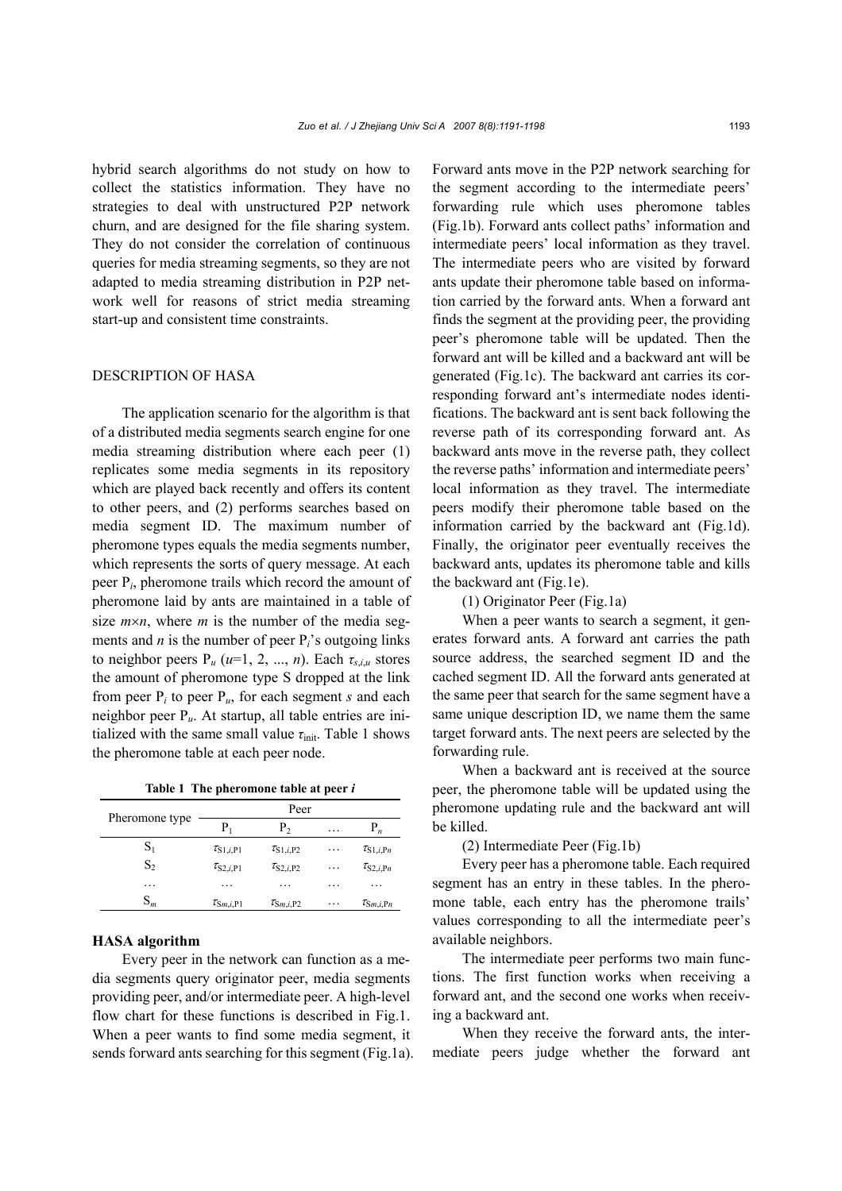hybrid search algorithms do not study on how to collect the statistics information. They have no strategies to deal with unstructured P2P network churn, and are designed for the file sharing system. They do not consider the correlation of continuous queries for media streaming segments, so they are not adapted to media streaming distribution in P2P network well for reasons of strict media streaming start-up and consistent time constraints.

## DESCRIPTION OF HASA

The application scenario for the algorithm is that of a distributed media segments search engine for one media streaming distribution where each peer (1) replicates some media segments in its repository which are played back recently and offers its content to other peers, and (2) performs searches based on media segment ID. The maximum number of pheromone types equals the media segments number, which represents the sorts of query message. At each peer P*i*, pheromone trails which record the amount of pheromone laid by ants are maintained in a table of size  $m \times n$ , where *m* is the number of the media segments and  $n$  is the number of peer  $P_i$ 's outgoing links to neighbor peers  $P_u$  ( $u=1, 2, ..., n$ ). Each  $\tau_{s,i,u}$  stores the amount of pheromone type S dropped at the link from peer  $P_i$  to peer  $P_i$ , for each segment *s* and each neighbor peer P*u*. At startup, all table entries are initialized with the same small value *τ*<sub>init</sub>. Table 1 shows the pheromone table at each peer node.

**Table 1 The pheromone table at peer** *i*

| Pheromone type | Peer                           |                                |   |                                    |  |
|----------------|--------------------------------|--------------------------------|---|------------------------------------|--|
|                | $P_{1}$                        | P,                             | . | $P_n$                              |  |
| $\mathrm{S}_1$ | $\tau_{S1,i,P1}$               | $\tau_{S1,i,P2}$               | . | $\tau_{\text{S1},i,\text{Pn}}$     |  |
| $S_2$          | $\tau_{S2,i,P1}$               | $\tau_{S2,i,P2}$               | . | $\tau_{S2,i, Pn}$                  |  |
| .              | .                              | .                              | . | .                                  |  |
| $S_m$          | $\tau_{\text{Sm},i,\text{P1}}$ | $\tau_{\text{Sm},i,\text{P2}}$ | . | $\tau_{\mathrm{S}m,i,\mathrm{P}n}$ |  |

#### **HASA algorithm**

Every peer in the network can function as a media segments query originator peer, media segments providing peer, and/or intermediate peer. A high-level flow chart for these functions is described in Fig.1. When a peer wants to find some media segment, it sends forward ants searching for this segment (Fig.1a). Forward ants move in the P2P network searching for the segment according to the intermediate peers' forwarding rule which uses pheromone tables (Fig.1b). Forward ants collect paths' information and intermediate peers' local information as they travel. The intermediate peers who are visited by forward ants update their pheromone table based on information carried by the forward ants. When a forward ant finds the segment at the providing peer, the providing peer's pheromone table will be updated. Then the forward ant will be killed and a backward ant will be generated (Fig.1c). The backward ant carries its corresponding forward ant's intermediate nodes identifications. The backward ant is sent back following the reverse path of its corresponding forward ant. As backward ants move in the reverse path, they collect the reverse paths' information and intermediate peers' local information as they travel. The intermediate peers modify their pheromone table based on the information carried by the backward ant (Fig.1d). Finally, the originator peer eventually receives the backward ants, updates its pheromone table and kills the backward ant (Fig.1e).

(1) Originator Peer (Fig.1a)

When a peer wants to search a segment, it generates forward ants. A forward ant carries the path source address, the searched segment ID and the cached segment ID. All the forward ants generated at the same peer that search for the same segment have a same unique description ID, we name them the same target forward ants. The next peers are selected by the forwarding rule.

When a backward ant is received at the source peer, the pheromone table will be updated using the pheromone updating rule and the backward ant will be killed.

(2) Intermediate Peer (Fig.1b)

Every peer has a pheromone table. Each required segment has an entry in these tables. In the pheromone table, each entry has the pheromone trails' values corresponding to all the intermediate peer's available neighbors.

The intermediate peer performs two main functions. The first function works when receiving a forward ant, and the second one works when receiving a backward ant.

When they receive the forward ants, the intermediate peers judge whether the forward ant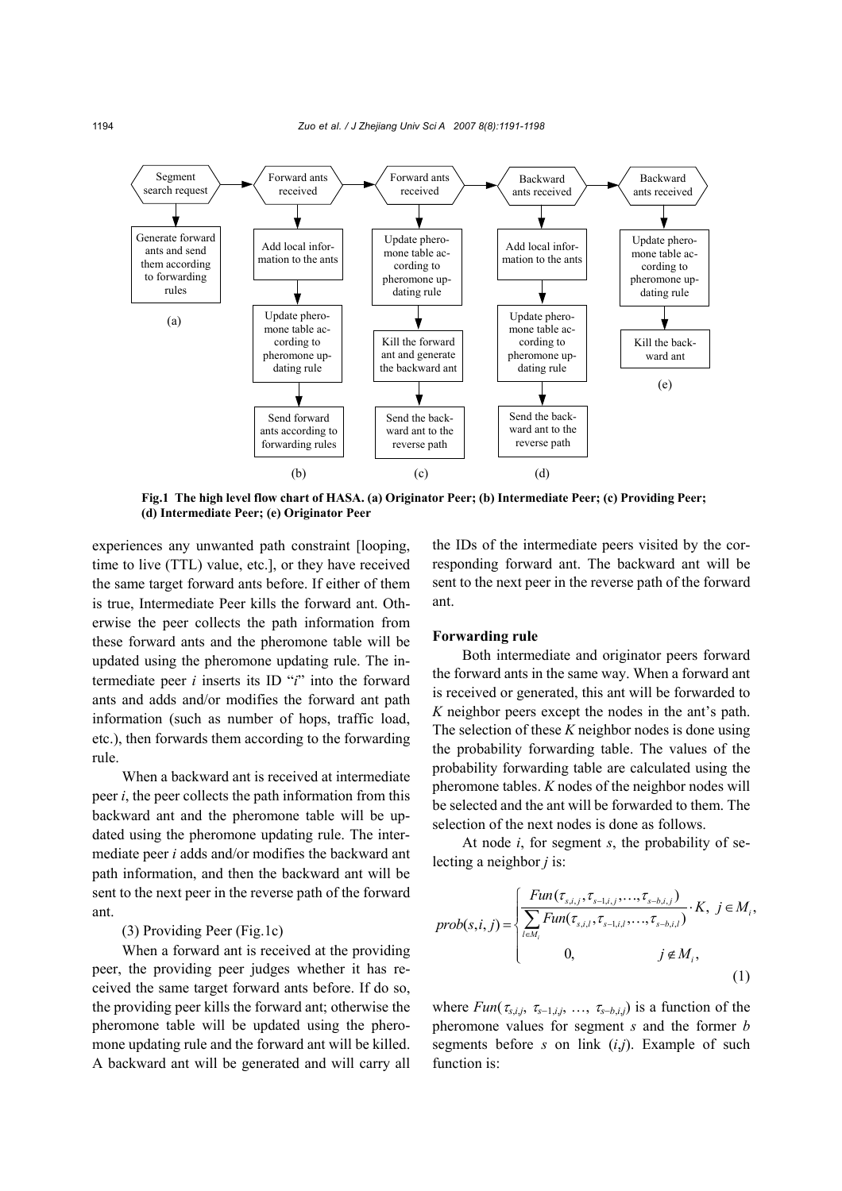

**Fig.1 The high level flow chart of HASA. (a) Originator Peer; (b) Intermediate Peer; (c) Providing Peer; (d) Intermediate Peer; (e) Originator Peer**

experiences any unwanted path constraint [looping, time to live (TTL) value, etc.], or they have received the same target forward ants before. If either of them is true, Intermediate Peer kills the forward ant. Otherwise the peer collects the path information from these forward ants and the pheromone table will be updated using the pheromone updating rule. The intermediate peer *i* inserts its ID "*i*" into the forward ants and adds and/or modifies the forward ant path information (such as number of hops, traffic load, etc.), then forwards them according to the forwarding rule.

When a backward ant is received at intermediate peer *i*, the peer collects the path information from this backward ant and the pheromone table will be updated using the pheromone updating rule. The intermediate peer *i* adds and/or modifies the backward ant path information, and then the backward ant will be sent to the next peer in the reverse path of the forward ant.

## (3) Providing Peer (Fig.1c)

When a forward ant is received at the providing peer, the providing peer judges whether it has received the same target forward ants before. If do so, the providing peer kills the forward ant; otherwise the pheromone table will be updated using the pheromone updating rule and the forward ant will be killed. A backward ant will be generated and will carry all

the IDs of the intermediate peers visited by the corresponding forward ant. The backward ant will be sent to the next peer in the reverse path of the forward ant.

#### **Forwarding rule**

Both intermediate and originator peers forward the forward ants in the same way. When a forward ant is received or generated, this ant will be forwarded to *K* neighbor peers except the nodes in the ant's path. The selection of these *K* neighbor nodes is done using the probability forwarding table. The values of the probability forwarding table are calculated using the pheromone tables. *K* nodes of the neighbor nodes will be selected and the ant will be forwarded to them. The selection of the next nodes is done as follows.

At node *i*, for segment *s*, the probability of selecting a neighbor *j* is:

$$
prob(s, i, j) = \begin{cases} \frac{Fun(\tau_{s,i,j}, \tau_{s-1,i,j}, \dots, \tau_{s-b,i,j})}{\sum_{i \in M_i} Fun(\tau_{s,i,l}, \tau_{s-1,i,l}, \dots, \tau_{s-b,i,l})} \cdot K, & j \in M_i, \\ 0, & j \notin M_i, \end{cases}
$$
(1)

where  $Fun(\tau_{s,i,j}, \tau_{s-1,i,j}, \ldots, \tau_{s-b,i,j})$  is a function of the pheromone values for segment *s* and the former *b* segments before *s* on link (*i*,*j*). Example of such function is: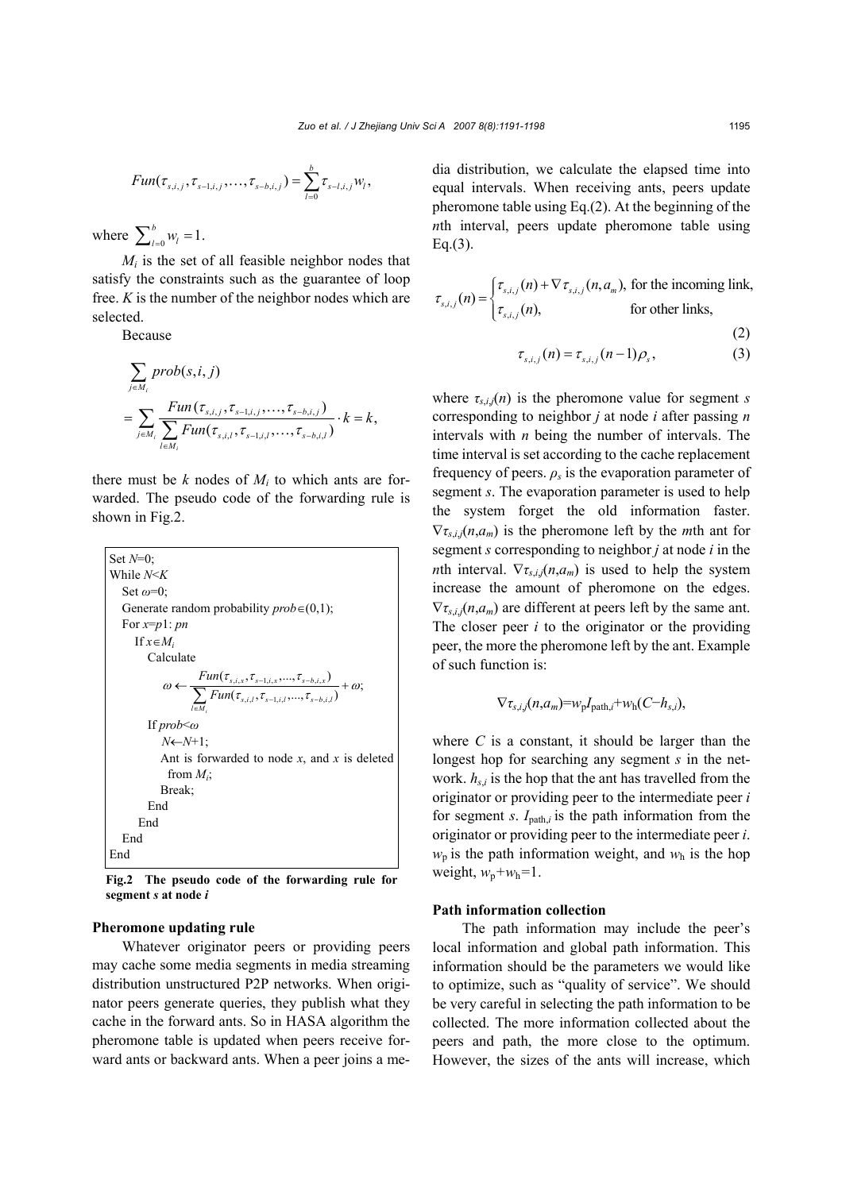$$
Fun(\tau_{s,i,j}, \tau_{s-1,i,j}, \ldots, \tau_{s-b,i,j}) = \sum_{l=0}^{b} \tau_{s-l,i,j} w_l,
$$

where  $\sum_{l=0}^{b} w_l = 1$ .

 $M_i$  is the set of all feasible neighbor nodes that satisfy the constraints such as the guarantee of loop free. *K* is the number of the neighbor nodes which are selected.

Because

$$
\sum_{j \in M_i} prob(s, i, j)
$$
\n
$$
= \sum_{j \in M_i} \frac{Fun(\tau_{s,i,j}, \tau_{s-1,i,j}, \dots, \tau_{s-b,i,j})}{\sum_{l \in M_i} Fun(\tau_{s,i,l}, \tau_{s-1,i,l}, \dots, \tau_{s-b,i,l})} \cdot k = k,
$$

there must be  $k$  nodes of  $M_i$  to which ants are forwarded. The pseudo code of the forwarding rule is shown in Fig.2.

| Set $N=0$ ;                                                                                                                                                                |  |  |  |  |
|----------------------------------------------------------------------------------------------------------------------------------------------------------------------------|--|--|--|--|
| While N <k< td=""></k<>                                                                                                                                                    |  |  |  |  |
| Set $\omega=0$ ;                                                                                                                                                           |  |  |  |  |
| Generate random probability $prob \in (0,1)$ ;                                                                                                                             |  |  |  |  |
| For $x=p1$ : pn                                                                                                                                                            |  |  |  |  |
| If $x \in M_i$                                                                                                                                                             |  |  |  |  |
| Calculate                                                                                                                                                                  |  |  |  |  |
| $\omega \leftarrow \frac{Fun(\tau_{s,i,x},\tau_{s-1,i,x},,\tau_{s-b,i,x})}{\sum_{s=1}^{\infty} Fun(\tau_{s,i,l},\tau_{s-1,i,l},,\tau_{s-b,i,l})} + \omega;$<br>$l \in M$ . |  |  |  |  |
| If $prob<\omega$                                                                                                                                                           |  |  |  |  |
| $N \leftarrow N+1$ :                                                                                                                                                       |  |  |  |  |
| Ant is forwarded to node x, and x is deleted                                                                                                                               |  |  |  |  |
| from $M_i$ ;                                                                                                                                                               |  |  |  |  |
| Break:                                                                                                                                                                     |  |  |  |  |
| End                                                                                                                                                                        |  |  |  |  |
| End                                                                                                                                                                        |  |  |  |  |
| End                                                                                                                                                                        |  |  |  |  |
| End                                                                                                                                                                        |  |  |  |  |

**Fig.2 The pseudo code of the forwarding rule for segment** *s* **at node** *i*

#### **Pheromone updating rule**

Whatever originator peers or providing peers may cache some media segments in media streaming distribution unstructured P2P networks. When originator peers generate queries, they publish what they cache in the forward ants. So in HASA algorithm the pheromone table is updated when peers receive forward ants or backward ants. When a peer joins a media distribution, we calculate the elapsed time into equal intervals. When receiving ants, peers update pheromone table using Eq.(2). At the beginning of the *nth* interval, peers update pheromone table using Eq.(3).

$$
\tau_{s,i,j}(n) = \begin{cases} \tau_{s,i,j}(n) + \nabla \tau_{s,i,j}(n, a_m), \text{ for the incoming link,} \\ \tau_{s,i,j}(n), \text{ for other links,} \end{cases}
$$
 (2)

$$
\tau_{s,i,j}(n) = \tau_{s,i,j}(n-1)\rho_s,\tag{3}
$$

where  $\tau_{s,i,j}(n)$  is the pheromone value for segment *s* corresponding to neighbor *j* at node *i* after passing *n* intervals with *n* being the number of intervals. The time interval is set according to the cache replacement frequency of peers.  $\rho_s$  is the evaporation parameter of segment *s*. The evaporation parameter is used to help the system forget the old information faster.  $\nabla \tau_{s,i}$  *(n,a<sub>m</sub>)* is the pheromone left by the *m*th ant for segment *s* corresponding to neighbor *j* at node *i* in the *n*th interval.  $\nabla \tau_{s,i,j}(n,a_m)$  is used to help the system increase the amount of pheromone on the edges.  $\nabla \tau_{s,i,j}(n,a_m)$  are different at peers left by the same ant. The closer peer *i* to the originator or the providing peer, the more the pheromone left by the ant. Example of such function is:

$$
\nabla \tau_{s,i,j}(n,a_m) = w_p I_{\text{path},i} + w_h(C - h_{s,i}),
$$

where  $C$  is a constant, it should be larger than the longest hop for searching any segment *s* in the network.  $h_{s,i}$  is the hop that the ant has travelled from the originator or providing peer to the intermediate peer *i* for segment *s*. *I*path,*i* is the path information from the originator or providing peer to the intermediate peer *i*.  $w_p$  is the path information weight, and  $w_h$  is the hop weight,  $w_p + w_h = 1$ .

## **Path information collection**

The path information may include the peer's local information and global path information. This information should be the parameters we would like to optimize, such as "quality of service". We should be very careful in selecting the path information to be collected. The more information collected about the peers and path, the more close to the optimum. However, the sizes of the ants will increase, which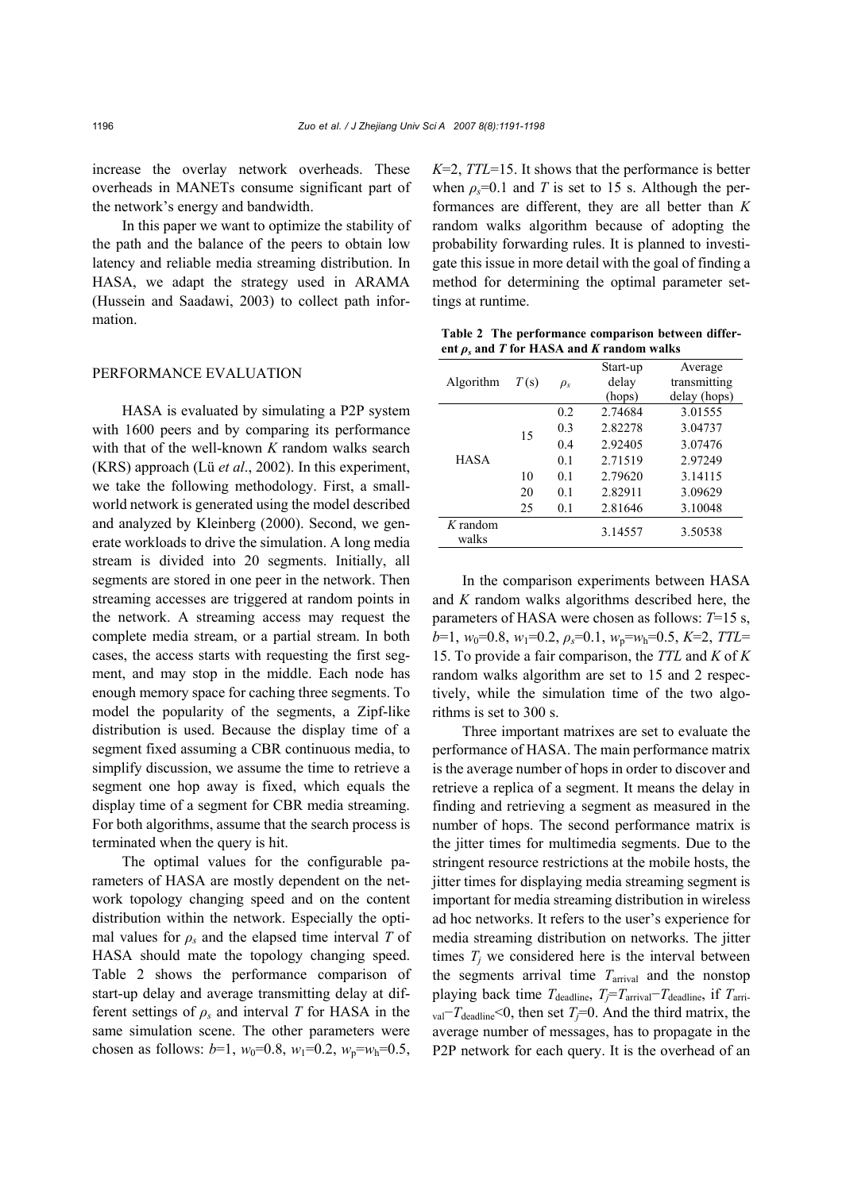increase the overlay network overheads. These overheads in MANETs consume significant part of the network's energy and bandwidth.

In this paper we want to optimize the stability of the path and the balance of the peers to obtain low latency and reliable media streaming distribution. In HASA, we adapt the strategy used in ARAMA (Hussein and Saadawi, 2003) to collect path information.

## PERFORMANCE EVALUATION

HASA is evaluated by simulating a P2P system with 1600 peers and by comparing its performance with that of the well-known *K* random walks search (KRS) approach (Lü *et al*., 2002). In this experiment, we take the following methodology. First, a smallworld network is generated using the model described and analyzed by Kleinberg (2000). Second, we generate workloads to drive the simulation. A long media stream is divided into 20 segments. Initially, all segments are stored in one peer in the network. Then streaming accesses are triggered at random points in the network. A streaming access may request the complete media stream, or a partial stream. In both cases, the access starts with requesting the first segment, and may stop in the middle. Each node has enough memory space for caching three segments. To model the popularity of the segments, a Zipf-like distribution is used. Because the display time of a segment fixed assuming a CBR continuous media, to simplify discussion, we assume the time to retrieve a segment one hop away is fixed, which equals the display time of a segment for CBR media streaming. For both algorithms, assume that the search process is terminated when the query is hit.

The optimal values for the configurable parameters of HASA are mostly dependent on the network topology changing speed and on the content distribution within the network. Especially the optimal values for  $\rho_s$  and the elapsed time interval *T* of HASA should mate the topology changing speed. Table 2 shows the performance comparison of start-up delay and average transmitting delay at different settings of  $\rho_s$  and interval *T* for HASA in the same simulation scene. The other parameters were chosen as follows:  $b=1$ ,  $w_0=0.8$ ,  $w_1=0.2$ ,  $w_p=w_h=0.5$ ,

*K*=2, *TTL*=15. It shows that the performance is better when  $\rho_s$ =0.1 and *T* is set to 15 s. Although the performances are different, they are all better than *K* random walks algorithm because of adopting the probability forwarding rules. It is planned to investigate this issue in more detail with the goal of finding a method for determining the optimal parameter settings at runtime.

**Table 2 The performance comparison between differ**ent  $\rho_s$  and *T* for HASA and *K* random walks

| Algorithm           | T(s) | $\rho_{s}$     | Start-up<br>delay<br>(hops) | Average<br>transmitting<br>delay (hops) |
|---------------------|------|----------------|-----------------------------|-----------------------------------------|
| <b>HASA</b>         | 15   | 0.2            | 2.74684                     | 3.01555                                 |
|                     |      | 0.3            | 2.82278                     | 3.04737                                 |
|                     |      | 0.4            | 2.92405                     | 3.07476                                 |
|                     |      | 0 <sub>1</sub> | 2.71519                     | 2.97249                                 |
|                     | 10   | 0.1            | 2.79620                     | 3.14115                                 |
|                     | 20   | 0.1            | 2.82911                     | 3.09629                                 |
|                     | 25   | 0.1            | 2.81646                     | 3.10048                                 |
| $K$ random<br>walks |      |                | 3.14557                     | 3.50538                                 |

In the comparison experiments between HASA and *K* random walks algorithms described here, the parameters of HASA were chosen as follows: *T*=15 s,  $b=1$ ,  $w_0=0.8$ ,  $w_1=0.2$ ,  $\rho_s=0.1$ ,  $w_p=w_h=0.5$ ,  $K=2$ ,  $TTL=$ 15. To provide a fair comparison, the *TTL* and *K* of *K* random walks algorithm are set to 15 and 2 respectively, while the simulation time of the two algorithms is set to 300 s.

Three important matrixes are set to evaluate the performance of HASA. The main performance matrix is the average number of hops in order to discover and retrieve a replica of a segment. It means the delay in finding and retrieving a segment as measured in the number of hops. The second performance matrix is the jitter times for multimedia segments. Due to the stringent resource restrictions at the mobile hosts, the jitter times for displaying media streaming segment is important for media streaming distribution in wireless ad hoc networks. It refers to the user's experience for media streaming distribution on networks. The jitter times  $T_i$  we considered here is the interval between the segments arrival time  $T_{\text{arrival}}$  and the nonstop playing back time  $T_{\text{deadline}}$ ,  $T_j = T_{\text{arrival}} - T_{\text{deadline}}$ , if  $T_{\text{arri}}$ . val−*T*deadline<0, then set *Tj*=0. And the third matrix, the average number of messages, has to propagate in the P2P network for each query. It is the overhead of an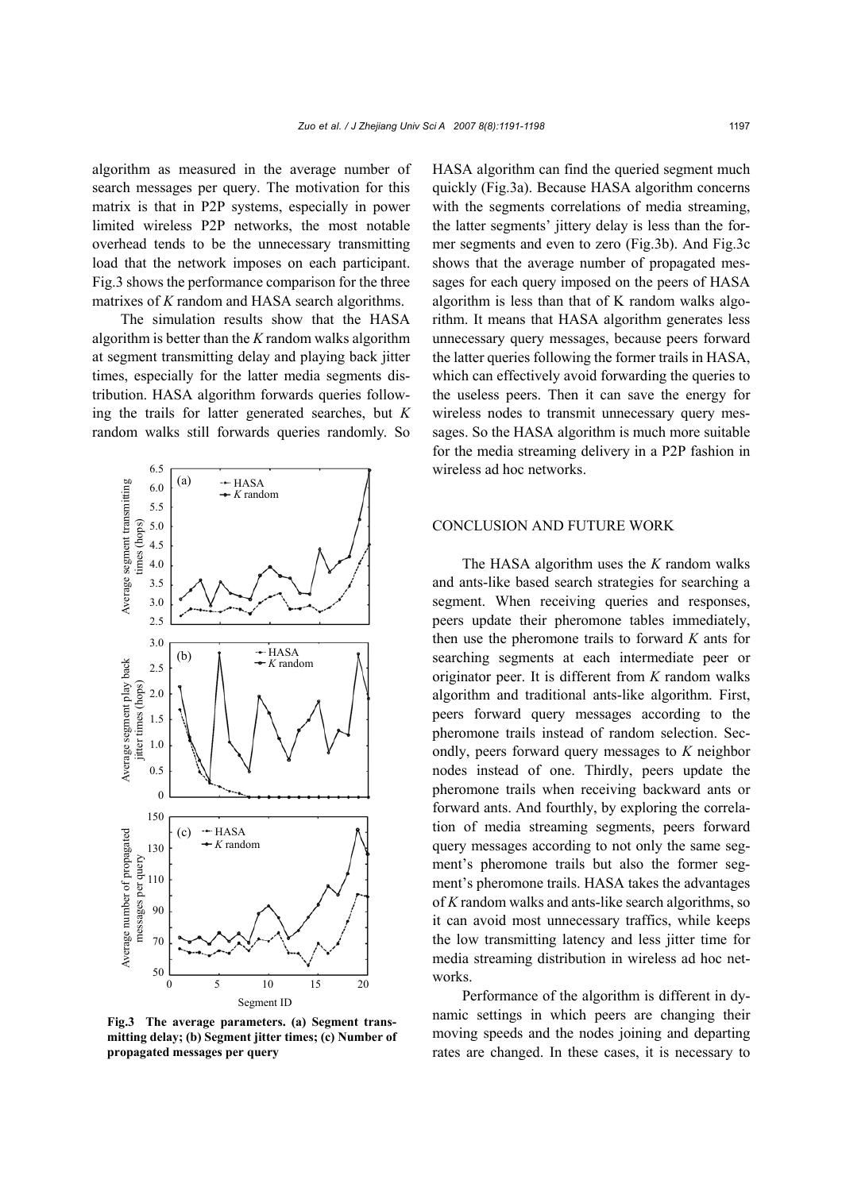algorithm as measured in the average number of search messages per query. The motivation for this matrix is that in P2P systems, especially in power limited wireless P2P networks, the most notable overhead tends to be the unnecessary transmitting load that the network imposes on each participant. Fig.3 shows the performance comparison for the three matrixes of *K* random and HASA search algorithms.

The simulation results show that the HASA algorithm is better than the *K* random walks algorithm at segment transmitting delay and playing back jitter times, especially for the latter media segments distribution. HASA algorithm forwards queries following the trails for latter generated searches, but *K* random walks still forwards queries randomly. So



**Fig.3 The average parameters. (a) Segment transmitting delay; (b) Segment jitter times; (c) Number of propagated messages per query** 

HASA algorithm can find the queried segment much quickly (Fig.3a). Because HASA algorithm concerns with the segments correlations of media streaming, the latter segments' jittery delay is less than the former segments and even to zero (Fig.3b). And Fig.3c shows that the average number of propagated messages for each query imposed on the peers of HASA algorithm is less than that of K random walks algorithm. It means that HASA algorithm generates less unnecessary query messages, because peers forward the latter queries following the former trails in HASA, which can effectively avoid forwarding the queries to the useless peers. Then it can save the energy for wireless nodes to transmit unnecessary query messages. So the HASA algorithm is much more suitable for the media streaming delivery in a P2P fashion in wireless ad hoc networks.

## CONCLUSION AND FUTURE WORK

The HASA algorithm uses the *K* random walks and ants-like based search strategies for searching a segment. When receiving queries and responses, peers update their pheromone tables immediately, then use the pheromone trails to forward *K* ants for searching segments at each intermediate peer or originator peer. It is different from *K* random walks algorithm and traditional ants-like algorithm. First, peers forward query messages according to the pheromone trails instead of random selection. Secondly, peers forward query messages to *K* neighbor nodes instead of one. Thirdly, peers update the pheromone trails when receiving backward ants or forward ants. And fourthly, by exploring the correlation of media streaming segments, peers forward query messages according to not only the same segment's pheromone trails but also the former segment's pheromone trails. HASA takes the advantages of *K* random walks and ants-like search algorithms, so it can avoid most unnecessary traffics, while keeps the low transmitting latency and less jitter time for media streaming distribution in wireless ad hoc networks.

Performance of the algorithm is different in dynamic settings in which peers are changing their moving speeds and the nodes joining and departing rates are changed. In these cases, it is necessary to